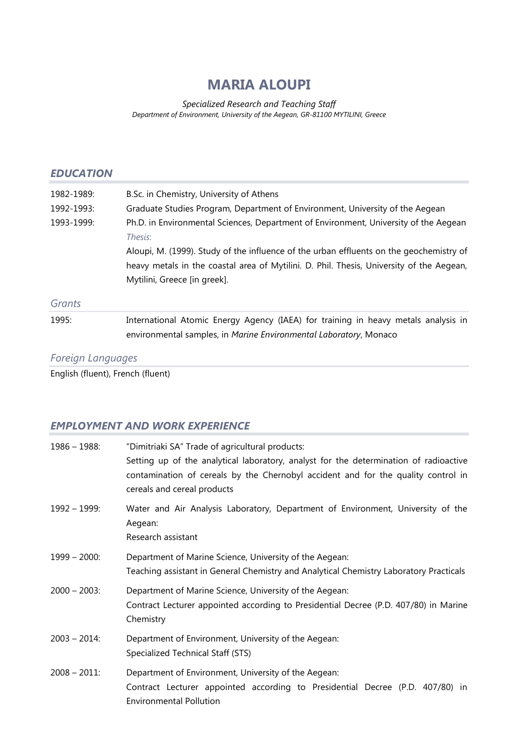# **MARIA ALOUPI**

*Specialized Research and Teaching Staff Department of Environment, University of the Aegean, GR-81100 MYTILINI, Greece*

### *EDUCATION*

| 1982-1989: | B.Sc. in Chemistry, University of Athens                                                                                                                                                                            |
|------------|---------------------------------------------------------------------------------------------------------------------------------------------------------------------------------------------------------------------|
| 1992-1993: | Graduate Studies Program, Department of Environment, University of the Aegean                                                                                                                                       |
| 1993-1999: | Ph.D. in Environmental Sciences, Department of Environment, University of the Aegean<br>Thesis:                                                                                                                     |
|            | Aloupi, M. (1999). Study of the influence of the urban effluents on the geochemistry of<br>heavy metals in the coastal area of Mytilini. D. Phil. Thesis, University of the Aegean,<br>Mytilini, Greece [in greek]. |
| Grants     |                                                                                                                                                                                                                     |
| 1995:      | International Atomic Energy Agency (IAEA) for training in heavy metals analysis in<br>environmental samples, in Marine Environmental Laboratory, Monaco                                                             |

# *Foreign Languages*

English (fluent), French (fluent)

# *EMPLOYMENT AND WORK EXPERIENCE*

| $1986 - 1988$ : | "Dimitriaki SA" Trade of agricultural products:<br>Setting up of the analytical laboratory, analyst for the determination of radioactive<br>contamination of cereals by the Chernobyl accident and for the quality control in<br>cereals and cereal products |
|-----------------|--------------------------------------------------------------------------------------------------------------------------------------------------------------------------------------------------------------------------------------------------------------|
| $1992 - 1999$ : | Water and Air Analysis Laboratory, Department of Environment, University of the<br>Aegean:<br>Research assistant                                                                                                                                             |
| $1999 - 2000$ : | Department of Marine Science, University of the Aegean:<br>Teaching assistant in General Chemistry and Analytical Chemistry Laboratory Practicals                                                                                                            |
| $2000 - 2003$ : | Department of Marine Science, University of the Aegean:<br>Contract Lecturer appointed according to Presidential Decree (P.D. 407/80) in Marine<br>Chemistry                                                                                                 |
| $2003 - 2014$ : | Department of Environment, University of the Aegean:<br>Specialized Technical Staff (STS)                                                                                                                                                                    |
| $2008 - 2011$ : | Department of Environment, University of the Aegean:<br>Contract Lecturer appointed according to Presidential Decree (P.D. 407/80) in<br><b>Environmental Pollution</b>                                                                                      |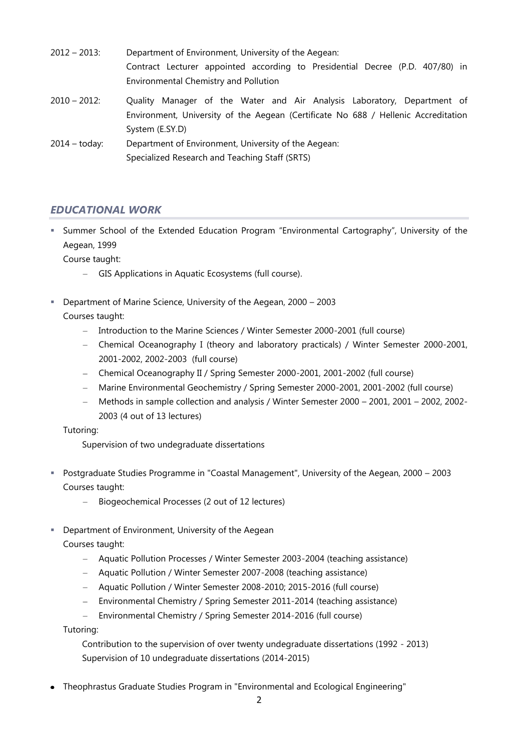- 2012 2013: Department of Environment, University of the Aegean: Contract Lecturer appointed according to Presidential Decree (P.D. 407/80) in Environmental Chemistry and Pollution
- 2010 2012: Quality Manager of the Water and Air Analysis Laboratory, Department of Environment, University of the Aegean (Certificate No 688 / Hellenic Accreditation System (E.SY.D)
- 2014 today: Department of Environment, University of the Aegean: Specialized Research and Teaching Staff (SRTS)

# *EDUCATIONAL WORK*

 Summer School of the Extended Education Program "Environmental Cartography", University of the Aegean, 1999

Course taught:

- GIS Applications in Aquatic Ecosystems (full course).
- Department of Marine Science, University of the Aegean, 2000 2003 Courses taught:
	- Introduction to the Marine Sciences / Winter Semester 2000-2001 (full course)  $\,$
	- Chemical Oceanography I (theory and laboratory practicals) / Winter Semester 2000-2001, 2001-2002, 2002-2003 (full course)
	- Chemical Oceanography II / Spring Semester 2000-2001, 2001-2002 (full course)
	- Marine Environmental Geochemistry / Spring Semester 2000-2001, 2001-2002 (full course)  $\equiv$
	- Methods in sample collection and analysis / Winter Semester 2000 2001, 2001 2002, 2002- 2003 (4 out of 13 lectures)

Tutoring:

Supervision of two undegraduate dissertations

- Postgraduate Studies Programme in "Coastal Management", University of the Aegean, 2000 2003 Courses taught:
	- Biogeochemical Processes (2 out of 12 lectures)
- **-** Department of Environment, University of the Aegean

Courses taught:

- Aquatic Pollution Processes / Winter Semester 2003-2004 (teaching assistance)
- Aquatic Pollution / Winter Semester 2007-2008 (teaching assistance)
- Aquatic Pollution / Winter Semester 2008-2010; 2015-2016 (full course)
- Environmental Chemistry / Spring Semester 2011-2014 (teaching assistance)  $\,$
- $\equiv$ Environmental Chemistry / Spring Semester 2014-2016 (full course)

Tutoring:

Contribution to the supervision of over twenty undegraduate dissertations (1992 - 2013) Supervision of 10 undegraduate dissertations (2014-2015)

Theophrastus Graduate Studies Program in "Environmental and Ecological Engineering"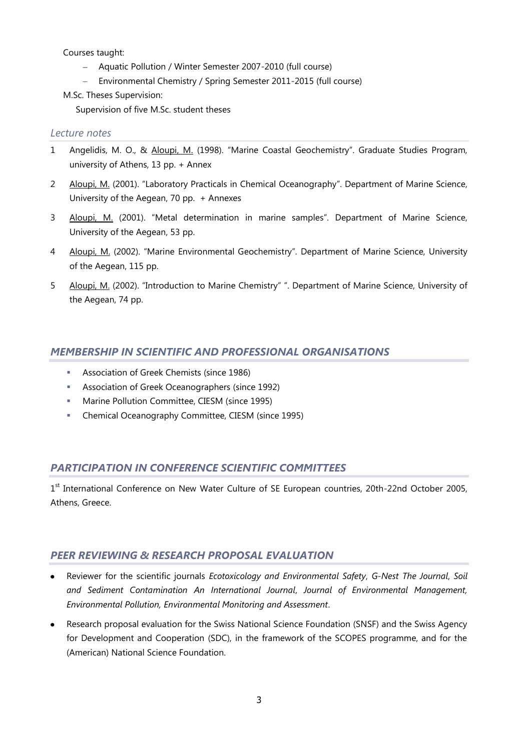Courses taught:

- Aquatic Pollution / Winter Semester 2007-2010 (full course)
- Environmental Chemistry / Spring Semester 2011-2015 (full course)

M.Sc. Theses Supervision:

Supervision of five M.Sc. student theses

### *Lecture notes*

- 1 Angelidis, M. O., & Aloupi, M. (1998). "Marine Coastal Geochemistry". Graduate Studies Program, university of Athens, 13 pp. + Annex
- 2 Aloupi, M. (2001). "Laboratory Practicals in Chemical Oceanography". Department of Marine Science, University of the Aegean, 70 pp. + Annexes
- 3 Aloupi, M. (2001). "Metal determination in marine samples". Department of Marine Science, University of the Aegean, 53 pp.
- 4 Aloupi, M. (2002). "Marine Environmental Geochemistry". Department of Marine Science, University of the Aegean, 115 pp.
- 5 Aloupi, M. (2002). "Introduction to Marine Chemistry" ". Department of Marine Science, University of the Aegean, 74 pp.

### *MEMBERSHIP IN SCIENTIFIC AND PROFESSIONAL ORGANISATIONS*

- Association of Greek Chemists (since 1986)
- **Association of Greek Oceanographers (since 1992)**
- **Marine Pollution Committee, CIESM (since 1995)**
- **E** Chemical Oceanography Committee, CIESM (since 1995)

# *PARTICIPATION IN CONFERENCE SCIENTIFIC COMMITTEES*

1<sup>st</sup> International Conference on New Water Culture of SE European countries, 20th-22nd October 2005, Athens, Greece.

### *PEER REVIEWING & RESEARCH PROPOSAL EVALUATION*

- Reviewer for the scientific journals *Ecotoxicology and Environmental Safety*, *G-Nest The Journal*, *Soil and Sediment Contamination An International Journal*, *Journal of Environmental Management, Environmental Pollution, Environmental Monitoring and Assessment*.
- Research proposal evaluation for the Swiss National Science Foundation (SNSF) and the Swiss Agency for Development and Cooperation (SDC), in the framework of the SCOPES programme, and for the (American) National Science Foundation.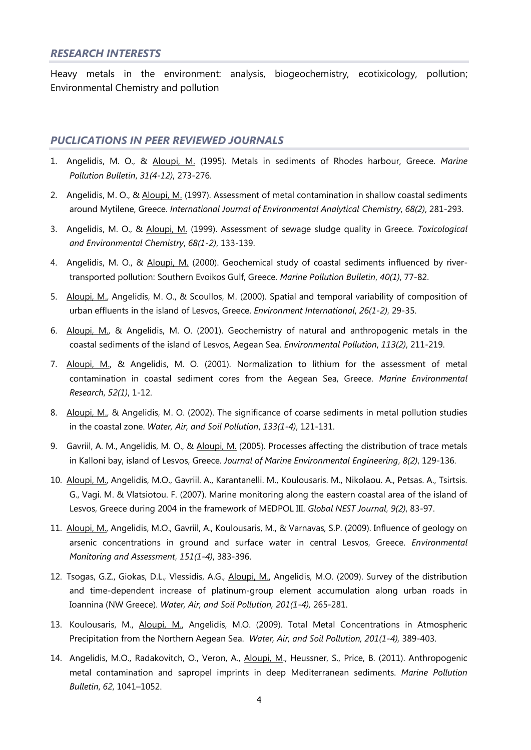#### *RESEARCH INTERESTS*

Heavy metals in the environment: analysis, biogeochemistry, ecotixicology, pollution; Environmental Chemistry and pollution

#### *PUCLICATIONS IN PEER REVIEWED JOURNALS*

- 1. Angelidis, M. O., & Aloupi, M. (1995). Metals in sediments of Rhodes harbour, Greece. *Marine Pollution Bulletin*, *31(4-12)*, 273-276.
- 2. Angelidis, M. O., & Aloupi, M. (1997). Assessment of metal contamination in shallow coastal sediments around Mytilene, Greece. *International Journal of Environmental Analytical Chemistry*, *68(2)*, 281-293.
- 3. Angelidis, M. O., & Aloupi, M. (1999). Assessment of sewage sludge quality in Greece. *Toxicological and Environmental Chemistry*, *68(1-2)*, 133-139.
- 4. Angelidis, M. O., & Aloupi, M. (2000). Geochemical study of coastal sediments influenced by rivertransported pollution: Southern Evoikos Gulf, Greece. *Marine Pollution Bulletin*, *40(1)*, 77-82.
- 5. Aloupi, M., Angelidis, M. O., & Scoullos, M. (2000). Spatial and temporal variability of composition of urban effluents in the island of Lesvos, Greece. *Environment International*, *26(1-2)*, 29-35.
- 6. Aloupi, M., & Angelidis, M. O. (2001). Geochemistry of natural and anthropogenic metals in the coastal sediments of the island of Lesvos, Aegean Sea. *Environmental Pollution*, *113(2)*, 211-219.
- 7. Aloupi, M., & Angelidis, M. O. (2001). Normalization to lithium for the assessment of metal contamination in coastal sediment cores from the Aegean Sea, Greece. *Marine Environmental Research*, *52(1)*, 1-12.
- 8. Aloupi, M., & Angelidis, M. O. (2002). The significance of coarse sediments in metal pollution studies in the coastal zone. *Water, Air, and Soil Pollution*, *133(1-4)*, 121-131.
- 9. Gavriil, A. M., Angelidis, M. O., & Aloupi, M. (2005). Processes affecting the distribution of trace metals in Kalloni bay, island of Lesvos, Greece. *Journal of Marine Environmental Engineering*, *8(2)*, 129-136.
- 10. Aloupi, M., Angelidis, M.O., Gavriil. A., Karantanelli. M., Koulousaris. M., Nikolaou. A., Petsas. A., Tsirtsis. G., Vagi. M. & Vlatsiotou. F. (2007). Marine monitoring along the eastern coastal area of the island of Lesvos, Greece during 2004 in the framework of MEDPOL III. *Global NEST Journal*, *9(2)*, 83-97.
- 11. Aloupi, M., Angelidis, M.O., Gavriil, A., Koulousaris, M., & Varnavas, S.P. (2009). Influence of geology on arsenic concentrations in ground and surface water in central Lesvos, Greece. *Environmental Monitoring and Assessment*, *151(1-4)*, 383-396.
- 12. Tsogas, G.Z., Giokas, D.L., Vlessidis, A.G., Aloupi, M., Angelidis, M.O. (2009). Survey of the distribution and time-dependent increase of platinum-group element accumulation along urban roads in Ioannina (NW Greece). *Water, Air, and Soil Pollution, 201(1-4),* 265-281.
- 13. Koulousaris, M., Aloupi, M., Angelidis, M.O. (2009). Total Metal Concentrations in Atmospheric Precipitation from the Northern Aegean Sea. *Water, Air, and Soil Pollution, 201(1-4),* 389-403.
- 14. Angelidis, M.O., Radakovitch, O., Veron, A., Aloupi, M., Heussner, S., Price, B. (2011). Anthropogenic metal contamination and sapropel imprints in deep Mediterranean sediments. *Marine Pollution Bulletin*, *62*, 1041–1052.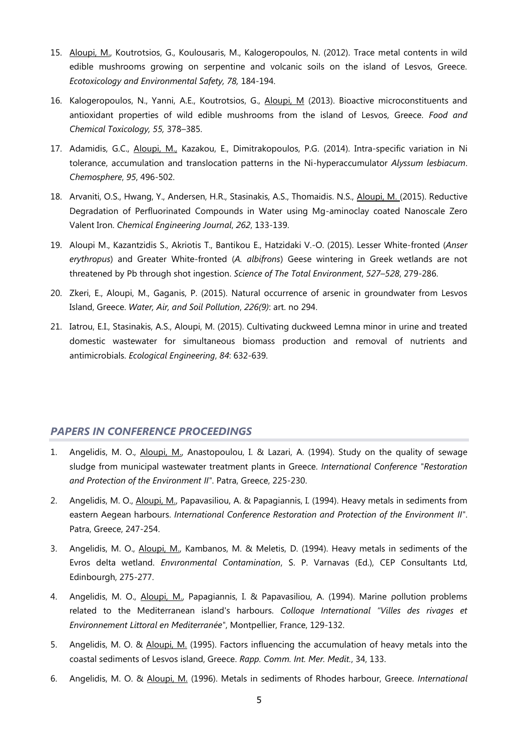- 15. Aloupi, M., Koutrotsios, G., Koulousaris, M., Kalogeropoulos, N. (2012). Trace metal contents in wild edible mushrooms growing on serpentine and volcanic soils on the island of Lesvos, Greece. *Ecotoxicology and Environmental Safety, 78,* 184-194.
- 16. Kalogeropoulos, N., Yanni, A.E., Koutrotsios, G., Aloupi, M (2013). Bioactive microconstituents and antioxidant properties of wild edible mushrooms from the island of Lesvos, Greece. *Food and Chemical Toxicology, 55,* 378–385.
- 17. Adamidis, G.C., Aloupi, M., Kazakou, E., Dimitrakopoulos, P.G. (2014). Intra-specific variation in Ni tolerance, accumulation and translocation patterns in the Ni-hyperaccumulator *Alyssum lesbiacum*. *Chemosphere*, *95*, 496-502.
- 18. Arvaniti, O.S., Hwang, Y., Andersen, H.R., Stasinakis, A.S., Thomaidis. N.S., Aloupi, M. (2015). Reductive Degradation of Perfluorinated Compounds in Water using Mg-aminoclay coated Nanoscale Zero Valent Iron. *Chemical Engineering Journal*, *262*, 133-139.
- 19. Aloupi M., Kazantzidis S., Akriotis T., Bantikou E., Hatzidaki V.-O. (2015). Lesser White-fronted (*Anser erythropus*) and Greater White-fronted (*A. albifrons*) Geese wintering in Greek wetlands are not threatened by Pb through shot ingestion. *Science of The Total Environment*, *527–528*, 279-286.
- 20. Zkeri, E., Aloupi, M., Gaganis, P. (2015). Natural occurrence of arsenic in groundwater from Lesvos Island, Greece. *Water, Air, and Soil Pollution*, *226(9)*: art. no 294.
- 21. Ιatrou, E.I., Stasinakis, A.S., Aloupi, M. (2015). Cultivating duckweed Lemna minor in urine and treated domestic wastewater for simultaneous biomass production and removal of nutrients and antimicrobials. *Ecological Engineering*, *84*: 632-639.

#### *PAPERS IN CONFERENCE PROCEEDINGS*

- 1. Angelidis, Μ. Ο., Aloupi, Μ., Anastopoulou, Ι. & Lazari, Α. (1994). Study οn the quality of sewage sludge from municipal wastewater treatment plants in Greece. *International Conference "Restoration and Protection of the Environment ΙΙ"*. Patra, Greece, 225-230.
- 2. Angelidis, Μ. Ο., Aloupi, Μ., Papavasiliou, Α. & Papagiannis, Ι. (1994). Heavy metals in sediments from eastern Aegean harbours. *International Conference Restoration and Protection of the Environment ΙΙ"*. Patra, Greece, 247-254.
- 3. Angelidis, M. O., Aloupi, M., Kambanos, M. & Meletis, D. (1994). Heavy metals in sediments of the Evros delta wetland. *Envιronmental Contamination*, S. Ρ. Varnavas (Ed.), CEP Consultants Ltd, Edinbourgh, 275-277.
- 4. Angelidis, Μ. Ο., Aloupi, Μ., Papagiannis, Ι. & Papavasiliou, Α. (1994). Marine ροllυtion problems related to the Mediterranean island's harbours. *Colloque International "Villes des rivages et Environnement Littoral en Mediterranée"*, Montpellier, France, 129-132.
- 5. Angelidis, Μ. Ο. & Aloupi, Μ. (1995). Factors influencing the accumulation of heavy metals into the coastal sediments of Lesvos island, Greece. *Rapp. Comm. Int. Mer. Medit.*, 34, 133.
- 6. Angelidis, Μ. Ο. & Aloupi, Μ. (1996). Metals in sediments of Rhodes harbour, Greece. *International*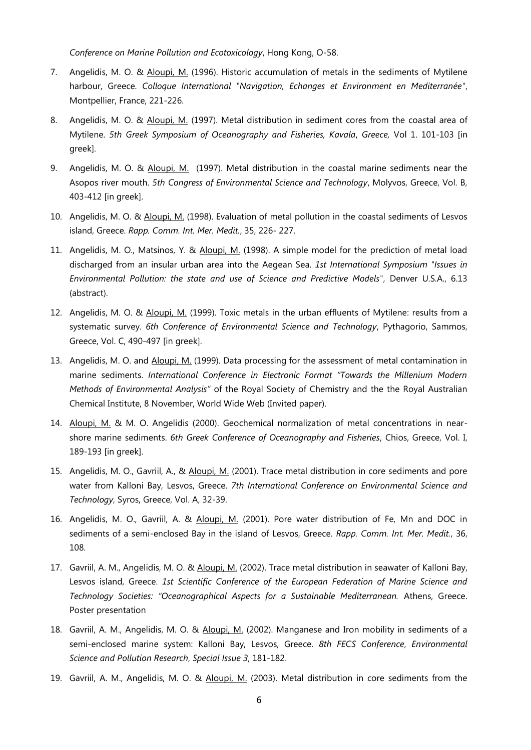*Conference οn Marine Pollution and Ecotoxicology*, Ηοng Kong, Ο-58.

- 7. Angelidis, Μ. Ο. & Aloupi, Μ. (1996). Historic accumulation of metals in the sediments of Mytilene harbour, Greece. *Colloque International "Navigation, Echanges et Environment en Mediterranée"*, Montpellier, France, 221-226.
- 8. Angelidis, M. O. & Aloupi, Μ. (1997). Metal distribution in sediment cores from the coastal area of Mytilene. *5th Greek Symposium of Oceanography and Fisheries, Kavala*, *Greece,* Vol 1. 101-103 [in greek].
- 9. Angelidis, M. O. & Aloupi, Μ. (1997). Metal distribution in the coastal marine sediments near the Asopos river mouth. *5th Congress of Environmental Science and Technology*, Molyvos, Greece, Vol. B, 403-412 [in greek].
- 10. Angelidis, Μ. Ο. & Aloupi, Μ. (1998). Evaluation of metal pollution in the coastal sediments of Lesvos island, Greece. *Rapp. Comm. Int. Mer. Medit.*, 35, 226- 227.
- 11. Angelidis, Μ. Ο., Matsinos, Υ. & Aloupi, Μ. (1998). Α simple model for the prediction of metal load discharged from an insular urban area into the Aegean Sea. *1st International Symposium "Issues in Environmental Pollution: the state and use of Science and Predictive Models"*, Denver U.S.A., 6.13 (abstract).
- 12. Angelidis, M. O. & Aloupi, Μ. (1999). Toxic metals in the urban effluents of Mytilene: results from a systematic survey. *6th Conference of Environmental Science and Technology*, Pythagorio, Sammos, Greece, Vol. C, 490-497 [in greek].
- 13. Angelidis, M. O. and Aloupi, M. (1999). Data processing for the assessment of metal contamination in marine sediments. *International Conference in Electronic Format "Towards the Millenium Modern Methods of Environmental Analysis"* of the Royal Society of Chemistry and the the Royal Australian Chemical Institute, 8 November, World Wide Web (Invited paper).
- 14. Aloupi, M. & M. O. Angelidis (2000). Geochemical normalization of metal concentrations in nearshore marine sediments. *6th Greek Conference of Oceanography and Fisheries*, Chios, Greece, Vol. I, 189-193 [in greek].
- 15. Angelidis, M. O., Gavriil, A., & Aloupi, M. (2001). Trace metal distribution in core sediments and pore water from Kalloni Bay, Lesvos, Greece. *7th International Conference on Environmental Science and Technology*, Syros, Greece, Vol. Α, 32-39.
- 16. Angelidis, M. O., Gavriil, A. & Aloupi, M. (2001). Pore water distribution of Fe, Mn and DOC in sediments of a semi-enclosed Bay in the island of Lesvos, Greece. *Rapp. Comm. Int. Mer. Medit.*, 36, 108.
- 17. Gavriil, A. M., Angelidis, M. O. & Aloupi, M. (2002). Trace metal distribution in seawater of Kalloni Bay, Lesvos island, Greece. *1st Scientific Conference of the European Federation of Marine Science and Technology Societies: "Oceanographical Aspects for a Sustainable Mediterranean.* Athens, Greece. Poster presentation
- 18. Gavriil, A. M., Angelidis, M. O. & Aloupi, M. (2002). Manganese and Iron mobility in sediments of a semi-enclosed marine system: Kalloni Bay, Lesvos, Greece. *8th FECS Conference*, *Environmental Science and Pollution Research*, *Special Issue 3*, 181-182.
- 19. Gavriil, A. M., Angelidis, M. O. & Aloupi, M. (2003). Metal distribution in core sediments from the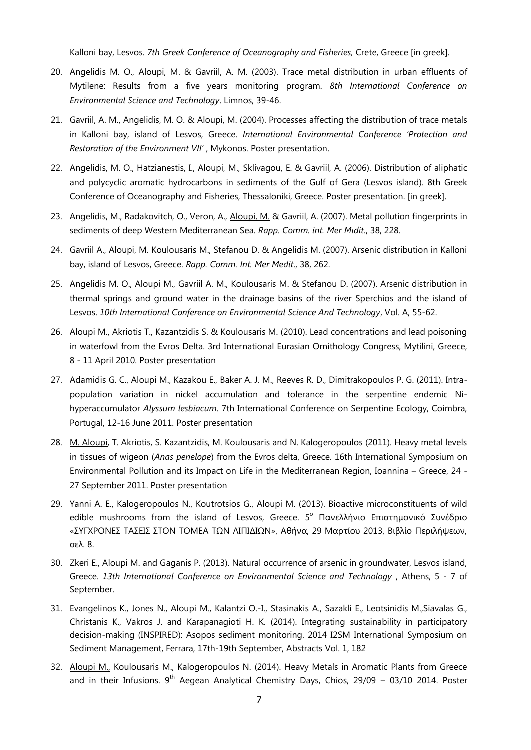Kalloni bay, Lesvos. *7th Greek Conference of Oceanography and Fisheries,* Crete, Greece [in greek].

- 20. Angelidis M. O., Aloupi, M. & Gavriil, A. M. (2003). Trace metal distribution in urban effluents of Mytilene: Results from a five years monitoring program. *8th International Conference on Environmental Science and Technology*. Limnos, 39-46.
- 21. Gavriil, A. M., Angelidis, M. O. & Aloupi, M. (2004). Processes affecting the distribution of trace metals in Κalloni bay, island of Lesvos, Greece. *International Environmental Conference 'Protection and Restoration of the Environment VII'* , Mykonos. Poster presentation.
- 22. Angelidis, M. O., Hatzianestis, I., Aloupi, M., Sklivagou, E. & Gavriil, A. (2006). Distribution of aliphatic and polycyclic aromatic hydrocarbons in sediments of the Gulf of Gera (Lesvos island). 8th Greek Conference of Oceanography and Fisheries, Thessaloniki, Greece. Poster presentation. [in greek].
- 23. Angelidis, M., Radakovitch, O., Veron, A., *Aloupi, M. & Gavriil, A. (2007). Metal pollution fingerprints in* sediments of deep Western Mediterranean Sea. *Rapp. Comm. int. Mer Mιdit.*, 38, 228.
- 24. Gavriil A., Aloupi, M. Koulousaris M., Stefanou D. & Angelidis M. (2007). Arsenic distribution in Kalloni bay, island of Lesvos, Greece. *Rapp. Comm. Int. Mer Medit*., 38, 262.
- 25. Angelidis M. O., Aloupi M., Gavriil A. M., Koulousaris M. & Stefanou D. (2007). Arsenic distribution in thermal springs and ground water in the drainage basins of the river Sperchios and the island of Lesvos. *10th International Conference on Environmental Science And Technology*, Vol. A, 55-62.
- 26. Aloupi M., Akriotis T., Kazantzidis S. & Koulousaris M. (2010). Lead concentrations and lead poisoning in waterfowl from the Evros Delta. 3rd International Eurasian Ornithology Congress, Mytilini, Greece, 8 - 11 April 2010. Poster presentation
- 27. Adamidis G. C., Aloupi M., Kazakou E., Baker A. J. M., Reeves R. D., Dimitrakopoulos P. G. (2011). Intrapopulation variation in nickel accumulation and tolerance in the serpentine endemic Nihyperaccumulator *Alyssum lesbiacum*. 7th International Conference on Serpentine Ecology, Coimbra, Portugal, 12-16 June 2011. Poster presentation
- 28. M. Aloupi, T. Akriotis, S. Kazantzidis, M. Koulousaris and N. Kalogeropoulos (2011). Heavy metal levels in tissues of wigeon (*Anas penelope*) from the Evros delta, Greece. 16th International Symposium on Environmental Pollution and its Impact on Life in the Mediterranean Region, Ioannina – Greece, 24 - 27 September 2011. Poster presentation
- 29. Yanni A. E., Kalogeropoulos N., Koutrotsios G., Aloupi M. (2013). Bioactive microconstituents of wild edible mushrooms from the island of Lesvos, Greece. 5<sup>°</sup> Πανελλήνιο Επιστημονικό Συνέδριο «ΣΥΓΧΡΟΝΕΣ ΤΑΣΕΙΣ ΣΤΟΝ ΤΟΜΕΑ ΤΩΝ ΛΙΠΙΔΙΩΝ», Αθήνα, 29 Μαρτίου 2013, Βιβλίο Περιλήψεων, σελ. 8.
- 30. Zkeri E., Aloupi M. and Gaganis P. (2013). Natural occurrence of arsenic in groundwater, Lesvos island, Greece. *13th International Conference on Environmental Science and Technology* , Athens, 5 - 7 of September.
- 31. Evangelinos K., Jones N., Aloupi M., Kalantzi O.-I., Stasinakis A., Sazakli E., Leotsinidis M.,Siavalas G., Christanis K., Vakros J. and Karapanagioti H. K. (2014). Integrating sustainability in participatory decision-making (INSPIRED): Asopos sediment monitoring. 2014 I2SM International Symposium on Sediment Management, Ferrara, 17th-19th September, Abstracts Vol. 1, 182
- 32. Aloupi M., Koulousaris M., Kalogeropoulos N. (2014). Heavy Metals in Aromatic Plants from Greece and in their Infusions.  $9^{th}$  Aegean Analytical Chemistry Days, Chios, 29/09 – 03/10 2014. Poster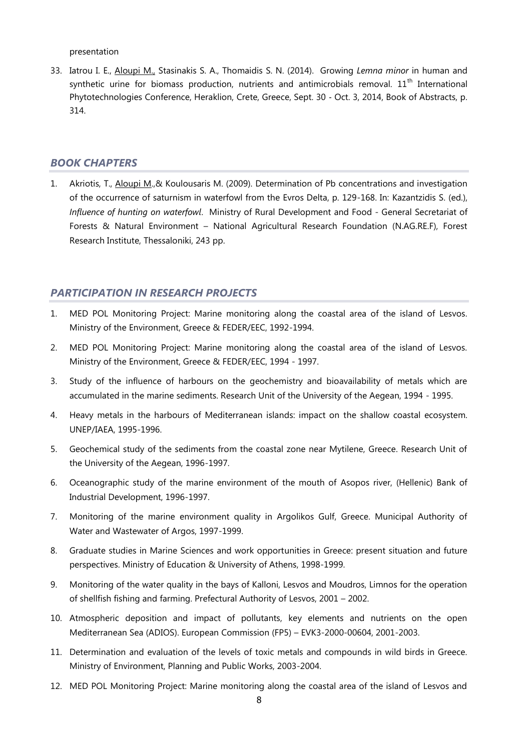presentation

33. Iatrou I. E., Aloupi M., Stasinakis S. A., Thomaidis S. N. (2014). Growing *Lemna minor* in human and synthetic urine for biomass production, nutrients and antimicrobials removal.  $11<sup>th</sup>$  International Phytotechnologies Conference, Heraklion, Crete, Greece, Sept. 30 ‐ Oct. 3, 2014, Book of Abstracts, p. 314.

#### *BOOK CHAPTERS*

1. Akriotis, T., Aloupi M., & Koulousaris M. (2009). Determination of Pb concentrations and investigation of the occurrence of saturnism in waterfowl from the Evros Delta, p. 129-168. In: Kazantzidis S. (ed.), *Influence of hunting on waterfowl*. Ministry of Rural Development and Food - General Secretariat of Forests & Natural Environment – National Agricultural Research Foundation (N.AG.RE.F), Forest Research Institute, Thessaloniki, 243 pp.

#### *PARTICIPATION IN RESEARCH PROJECTS*

- 1. MED POL Monitoring Project: Marine monitoring along the coastal area of the island of Lesvos. Ministry of the Environment, Greece & FEDER/EEC, 1992-1994.
- 2. MED POL Monitoring Project: Marine monitoring along the coastal area of the island of Lesvos. Ministry of the Environment, Greece & FEDER/EEC, 1994 - 1997.
- 3. Study of the influence of harbours on the geochemistry and bioavailability of metals which are accumulated in the marine sediments. Research Unit of the University of the Aegean, 1994 - 1995.
- 4. Heavy metals in the harbours of Mediterranean islands: impact on the shallow coastal ecosystem. UNEP/IAEA, 1995-1996.
- 5. Geochemical study of the sediments from the coastal zone near Mytilene, Greece. Research Unit of the University of the Aegean, 1996-1997.
- 6. Oceanographic study of the marine environment of the mouth of Asopos river, (Hellenic) Bank of Industrial Development, 1996-1997.
- 7. Monitoring of the marine environment quality in Argolikos Gulf, Greece. Municipal Authority of Water and Wastewater of Argos, 1997-1999.
- 8. Graduate studies in Marine Sciences and work opportunities in Greece: present situation and future perspectives. Ministry of Education & University of Athens, 1998-1999.
- 9. Monitoring of the water quality in the bays of Kalloni, Lesvos and Moudros, Limnos for the operation of shellfish fishing and farming. Prefectural Authority of Lesvos, 2001 – 2002.
- 10. Atmospheric deposition and impact of pollutants, key elements and nutrients on the open Mediterranean Sea (ADIOS). European Commission (FP5) – EVK3-2000-00604, 2001-2003.
- 11. Determination and evaluation of the levels of toxic metals and compounds in wild birds in Greece. Ministry of Environment, Planning and Public Works, 2003-2004.
- 12. MED POL Monitoring Project: Marine monitoring along the coastal area of the island of Lesvos and